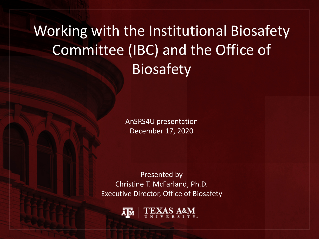Working with the Institutional Biosafety Committee (IBC) and the Office of **Biosafety** 

> AnSRS4U presentation December 17, 2020

Presented by Christine T. McFarland, Ph.D. Executive Director, Office of Biosafety

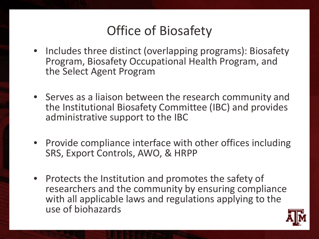### Office of Biosafety

- Includes three distinct (overlapping programs): Biosafety Program, Biosafety Occupational Health Program, and the Select Agent Program
- Serves as a liaison between the research community and the Institutional Biosafety Committee (IBC) and provides administrative support to the IBC
- Provide compliance interface with other offices including SRS, Export Controls, AWO, & HRPP
- Protects the Institution and promotes the safety of researchers and the community by ensuring compliance with all applicable laws and regulations applying to the use of biohazards

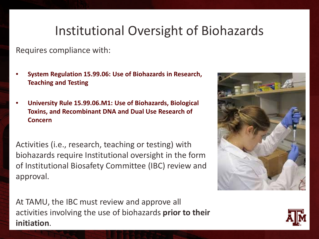### Institutional Oversight of Biohazards

Requires compliance with:

- **System Regulation 15.99.06: Use of Biohazards in Research, Teaching and Testing**
- **University Rule 15.99.06.M1: Use of Biohazards, Biological Toxins, and Recombinant DNA and Dual Use Research of Concern**

Activities (i.e., research, teaching or testing) with biohazards require Institutional oversight in the form of Institutional Biosafety Committee (IBC) review and approval.



At TAMU, the IBC must review and approve all activities involving the use of biohazards **prior to their initiation**.

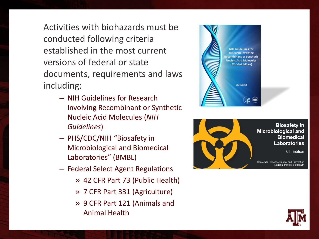Activities with biohazards must be conducted following criteria established in the most current versions of federal or state documents, requirements and laws including:

- NIH Guidelines for Research Involving Recombinant or Synthetic Nucleic Acid Molecules (*NIH Guidelines*)
- PHS/CDC/NIH "Biosafety in Microbiological and Biomedical Laboratories" (BMBL)
- Federal Select Agent Regulations
	- » 42 CFR Part 73 (Public Health)
	- » 7 CFR Part 331 (Agriculture)
	- » 9 CFR Part 121 (Animals and Animal Health





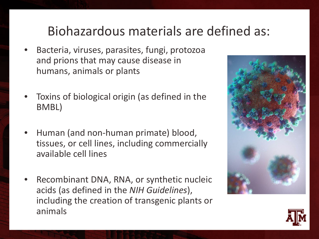### Biohazardous materials are defined as:

- Bacteria, viruses, parasites, fungi, protozoa and prions that may cause disease in humans, animals or plants
- Toxins of biological origin (as defined in the BMBL)
- Human (and non-human primate) blood, tissues, or cell lines, including commercially available cell lines
- Recombinant DNA, RNA, or synthetic nucleic acids (as defined in the *NIH Guidelines*), including the creation of transgenic plants or animals



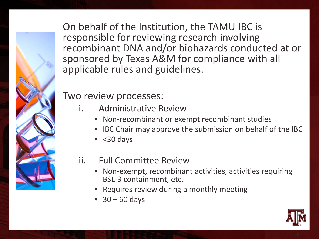On behalf of the Institution, the TAMU IBC is responsible for reviewing research involving recombinant DNA and/or biohazards conducted at or sponsored by Texas A&M for compliance with all applicable rules and guidelines.

### Two review processes:

- i. Administrative Review
	- Non-recombinant or exempt recombinant studies
	- IBC Chair may approve the submission on behalf of the IBC
	- $\bullet$  <30 days
- ii. Full Committee Review
	- Non-exempt, recombinant activities, activities requiring BSL-3 containment, etc.
	- Requires review during a monthly meeting
	- $\bullet$  30 60 days

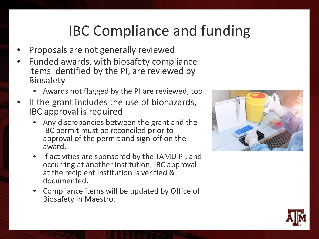# IBC Compliance and funding

- Proposals are not generally reviewed
- Funded awards, with biosafety compliance items identified by the PI, are reviewed by Biosafety
	- Awards not flagged by the PI are reviewed, too
- If the grant includes the use of biohazards, IBC approval is required
	- Any discrepancies between the grant and the IBC permit must be reconciled prior to approval of the permit and sign-off on the award.
	- If activities are sponsored by the TAMU PI, and occurring at another institution, IBC approval at the recipient institution is verified & documented.
	- Compliance items will be updated by Office of Biosafety in Maestro.



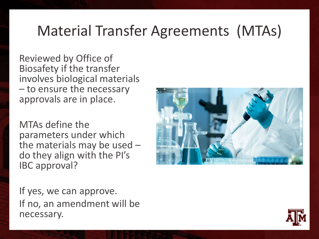# Material Transfer Agreements (MTAs)

Reviewed by Office of Biosafety if the transfer involves biological materials – to ensure the necessary approvals are in place.

MTAs define the parameters under which the materials may be used  $-$ <br>do they align with the PI's IBC approval?

If yes, we can approve. If no, an amendment will be necessary.

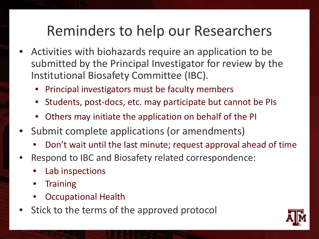## Reminders to help our Researchers

- Activities with biohazards require an application to be submitted by the Principal Investigator for review by the Institutional Biosafety Committee (IBC).
	- Principal investigators must be faculty members
	- Students, post-docs, etc. may participate but cannot be PIs
	- Others may initiate the application on behalf of the PI
- Submit complete applications (or amendments)
	- Don't wait until the last minute; request approval ahead of time
- Respond to IBC and Biosafety related correspondence:
	- Lab inspections
	- **Training**
	- Occupational Health
- Stick to the terms of the approved protocol

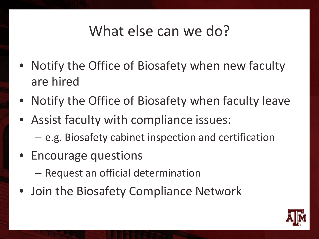### What else can we do?

- Notify the Office of Biosafety when new faculty are hired
- Notify the Office of Biosafety when faculty leave
- Assist faculty with compliance issues:
	- e.g. Biosafety cabinet inspection and certification
- Encourage questions
	- Request an official determination
- Join the Biosafety Compliance Network

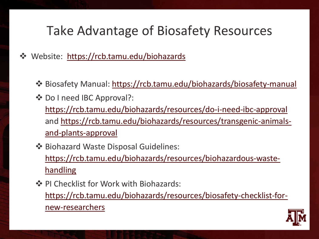### Take Advantage of Biosafety Resources

◆ Website: <https://rcb.tamu.edu/biohazards>

- Biosafety Manual: <https://rcb.tamu.edu/biohazards/biosafety-manual>
- ❖ Do I need IBC Approval?: <https://rcb.tamu.edu/biohazards/resources/do-i-need-ibc-approval> [and https://rcb.tamu.edu/biohazards/resources/transgenic-animals](https://rcb.tamu.edu/biohazards/resources/transgenic-animals-and-plants-approval)and-plants-approval
- $\dots$  **Biohazard Waste Disposal Guidelines:** [https://rcb.tamu.edu/biohazards/resources/biohazardous-waste](https://rcb.tamu.edu/biohazards/resources/biohazardous-waste-handling)**handling**
- ❖ PI Checklist for Work with Biohazards: [https://rcb.tamu.edu/biohazards/resources/biosafety-checklist-for](https://rcb.tamu.edu/biohazards/resources/biosafety-checklist-for-new-researchers)new-researchers

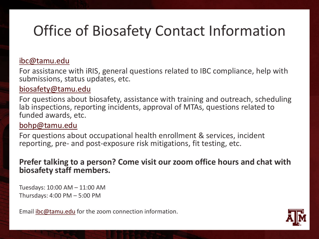# Office of Biosafety Contact Information

#### [ibc@tamu.edu](mailto:ibc@tamu.edu)

For assistance with iRIS, general questions related to IBC compliance, help with submissions, status updates, etc.

#### [biosafety@tamu.edu](mailto:biosafety@tamu.edu)

For questions about biosafety, assistance with training and outreach, scheduling lab inspections, reporting incidents, approval of MTAs, questions related to funded awards, etc.

#### [bohp@tamu.edu](mailto:bohp@tamu.edu)

For questions about occupational health enrollment & services, incident reporting, pre- and post-exposure risk mitigations, fit testing, etc.

### **Prefer talking to a person? Come visit our zoom office hours and chat with biosafety staff members.**

Tuesdays: 10:00 AM – 11:00 AM Thursdays: 4:00 PM – 5:00 PM

Email [ibc@tamu.edu](mailto:ibc@tamu.edu?subject=Zoom%20Office%20Hours%20Request) for the zoom connection information.

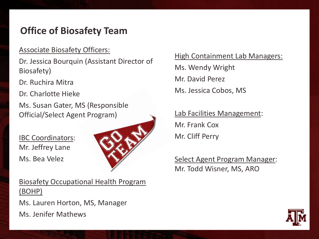### **Office of Biosafety Team**

#### Associate Biosafety Officers:

Dr. Jessica Bourquin (Assistant Director of Biosafety)

Dr. Ruchira Mitra

Dr. Charlotte Hieke

Ms. Susan Gater, MS (Responsible Official/Select Agent Program)

IBC Coordinators: Mr. Jeffrey Lane Ms. Bea Velez



Biosafety Occupational Health Program (BOHP)

Ms. Lauren Horton, MS, Manager

Ms. Jenifer Mathews

#### High Containment Lab Managers:

Ms. Wendy Wright Mr. David Perez Ms. Jessica Cobos, MS

Lab Facilities Management: Mr. Frank Cox Mr. Cliff Perry

Select Agent Program Manager: Mr. Todd Wisner, MS, ARO